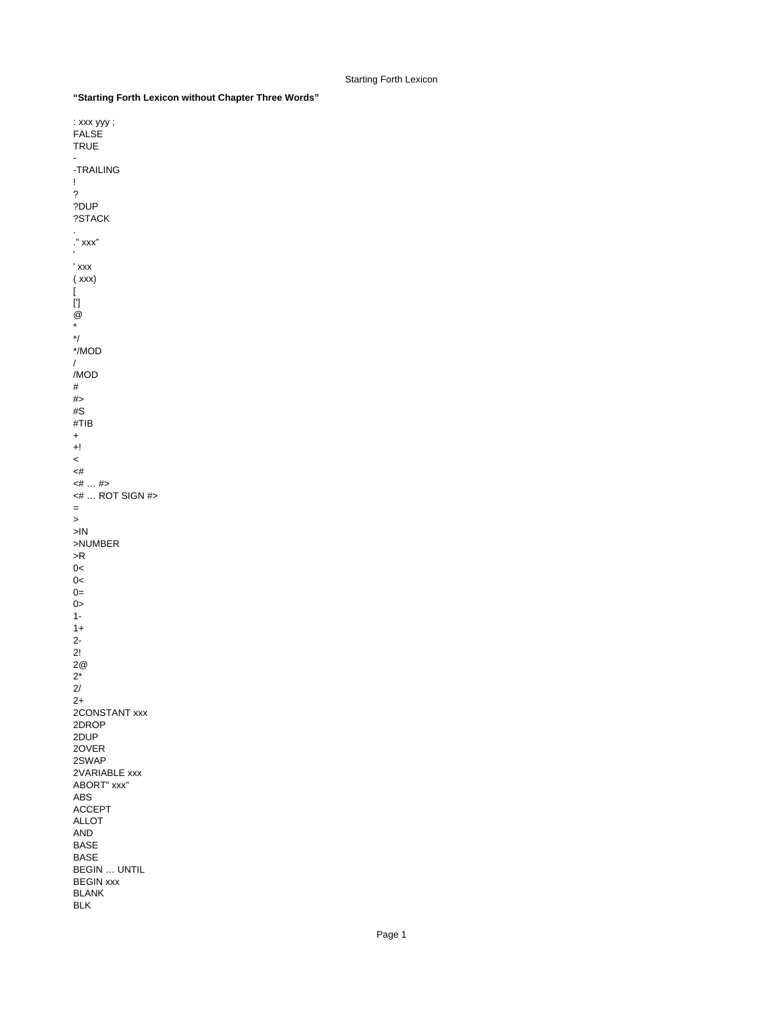## Starting Forth Lexicon

| : xxx yyy;<br><b>FALSE</b><br><b>TRUE</b><br>$\overline{\phantom{a}}$ |
|-----------------------------------------------------------------------|
| -TRAILING<br>Ţ<br>?<br>?DUP                                           |
| ?STACK<br>." $\mathsf{XXX}"$                                          |
| r.<br>' xxx<br>(xxx)                                                  |
| L<br>$\left[\!\left[ \cdot \right]\!\right]$<br>@<br>$\star$          |
| $^{\star}$ /<br>*/MOD<br>I                                            |
| /MOD<br>#<br>#>                                                       |
| #S<br>#TIB<br>$\ddot{}$                                               |
| +!<br>$\,<$<br>$<$ #                                                  |
| $4.1 + 12$<br>$\leq \#$ ROT SIGN $\#$ ><br>$=$                        |
| $\,$<br>>1N<br>>NUMBER<br>>R                                          |
| 0<<br>0<<br>$0=$                                                      |
| 0><br>$1-$<br>$1+$                                                    |
| $2 -$<br>2!<br>2@<br>$2^*$                                            |
| 21<br>$2+$<br>2CONSTANT xxx                                           |
| 2DROP<br>2DUP<br>20VER<br>2SWAP                                       |
| 2VARIABLE xxx<br>ABORT" xxx"<br><b>ABS</b>                            |
| <b>ACCEPT</b><br><b>ALLOT</b><br><b>AND</b><br><b>BASE</b>            |
| <b>BASE</b><br><b>BEGIN  UNTIL</b><br><b>BEGIN XXX</b>                |
| <b>BLANK</b><br><b>BLK</b>                                            |

**"Starting Forth Lexicon without Chapter Three Words"**

Page 1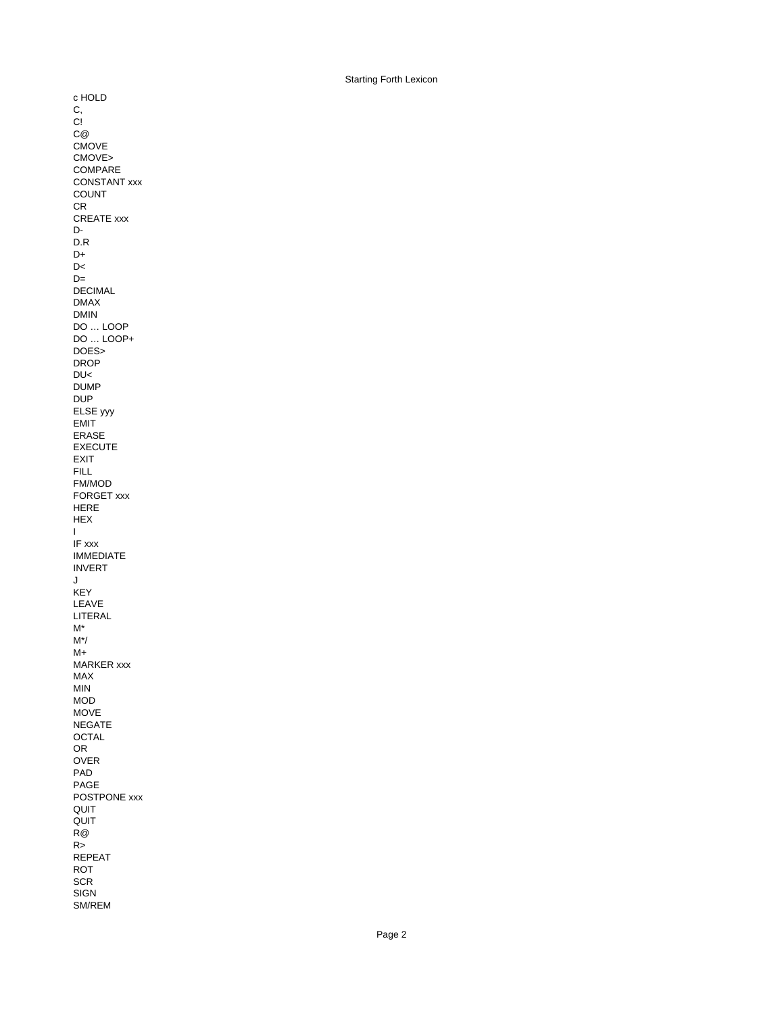Starting Forth Lexicon

c HOLD C, C! C@ CMOVE CMOVE> COMPARE COUNT CR D-D.R  $D+$ D<  $D=$ DECIMAL DMAX DMIN DO … LOOP DO … LOOP+ DOES> DROP DU< DUMP DUP EMIT ERASE EXECUTE EXIT FILL FM/MOD HERE HEX  $\mathbf{I}$ IMMEDIATE INVERT J KEY LEAVE LITERAL  $\mathsf{M}^\star$ M\*/ M+ MAX MIN MOD MOVE NEGATE **OCTAL** OR OVER PAD PAGE QUIT QUIT R@ R> REPEAT ROT SCR SIGN SM/REM CONSTANT xxx CREATE xxx ELSE yyy FORGET xxx IF xxx MARKER xxx POSTPONE xxx